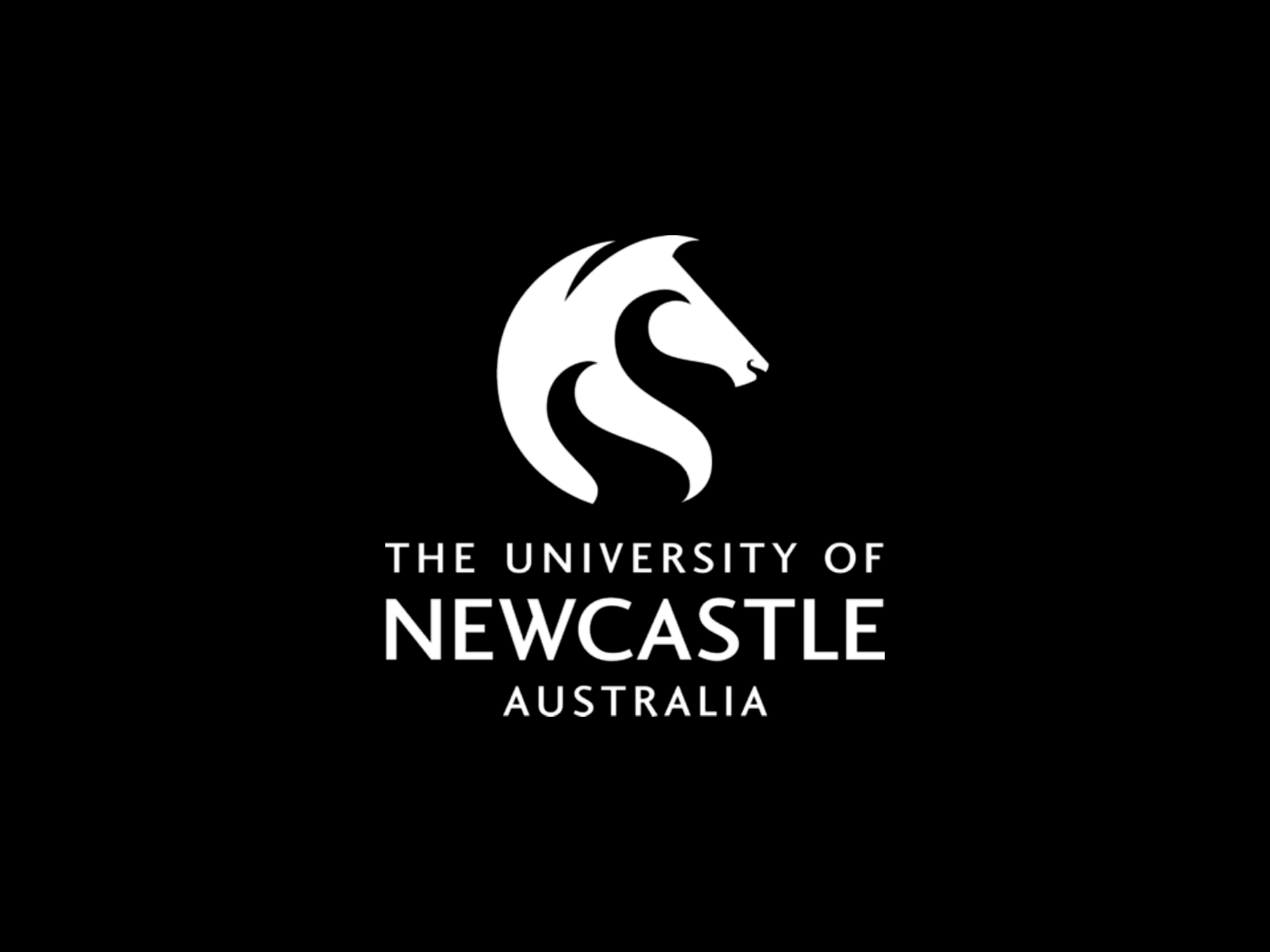

# THE UNIVERSITY OF **NEWCASTLE AUSTRALIA**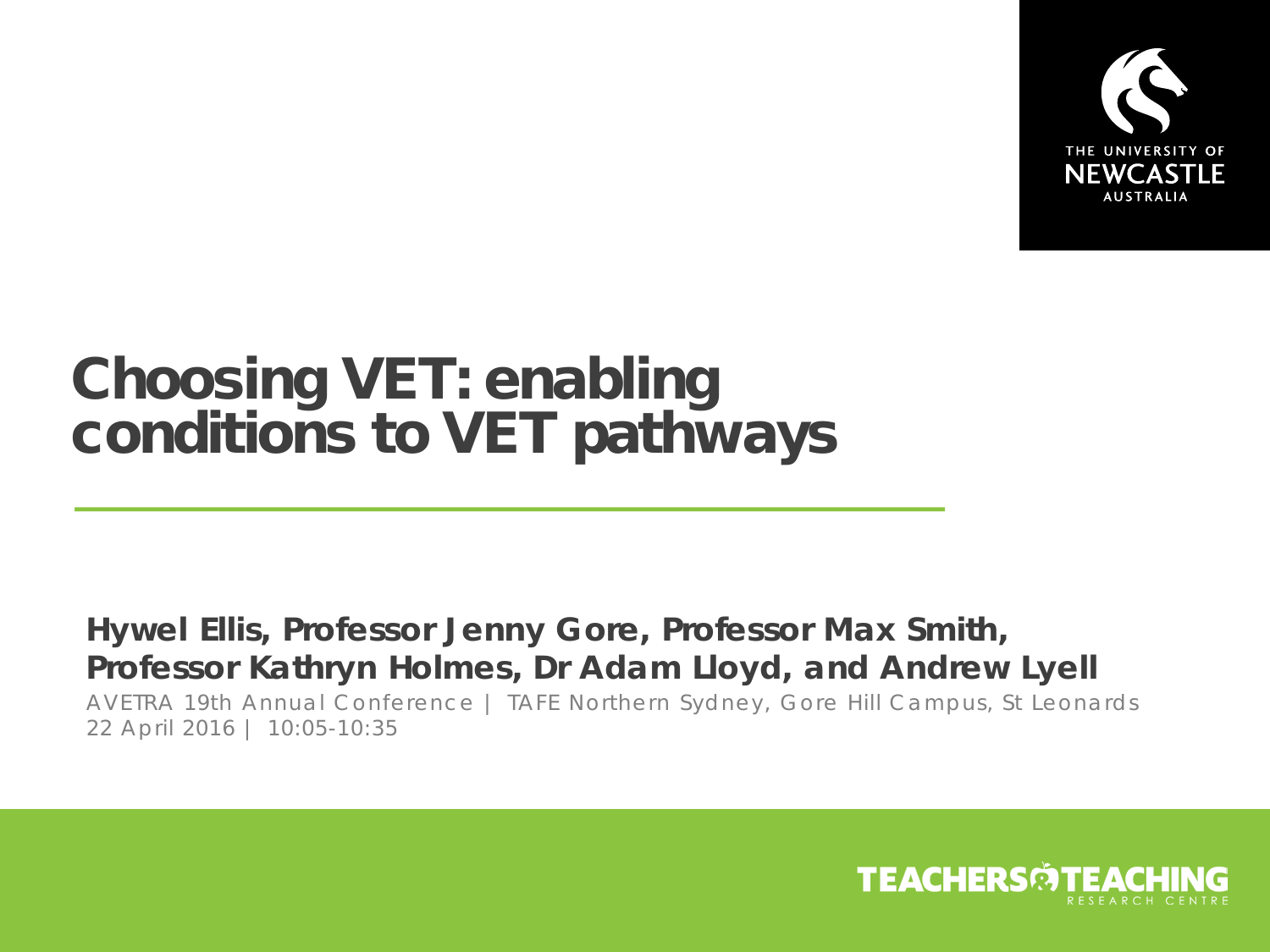

## Choosing VET: enabling conditions to VET pathways

#### **Hywel Ellis, Professor Jenny Gore, Professor Max Smith, Professor Kathryn Holmes, Dr Adam Lloyd, and Andrew Lyell**

AVETRA 19th Annual Conference | TAFE Northern Sydney, Gore Hill Campus, St Leonards 22 April 2016 | 10:05-10:35

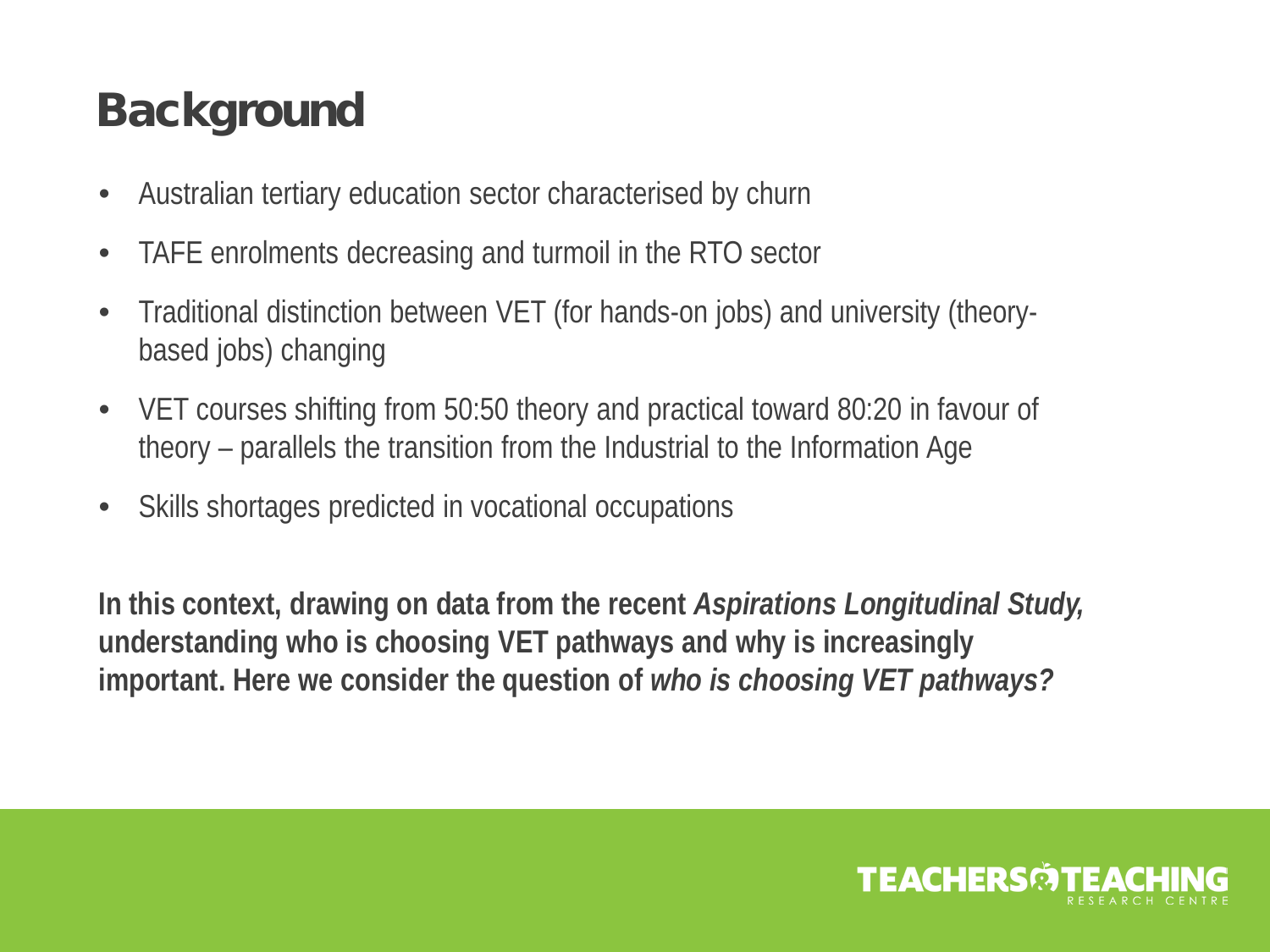## **Background**

- Australian tertiary education sector characterised by churn
- TAFE enrolments decreasing and turmoil in the RTO sector
- Traditional distinction between VET (for hands-on jobs) and university (theorybased jobs) changing
- VET courses shifting from 50:50 theory and practical toward 80:20 in favour of theory – parallels the transition from the Industrial to the Information Age
- Skills shortages predicted in vocational occupations

**In this context, drawing on data from the recent** *Aspirations Longitudinal Study,*  **understanding who is choosing VET pathways and why is increasingly important. Here we consider the question of** *who is choosing VET pathways?*

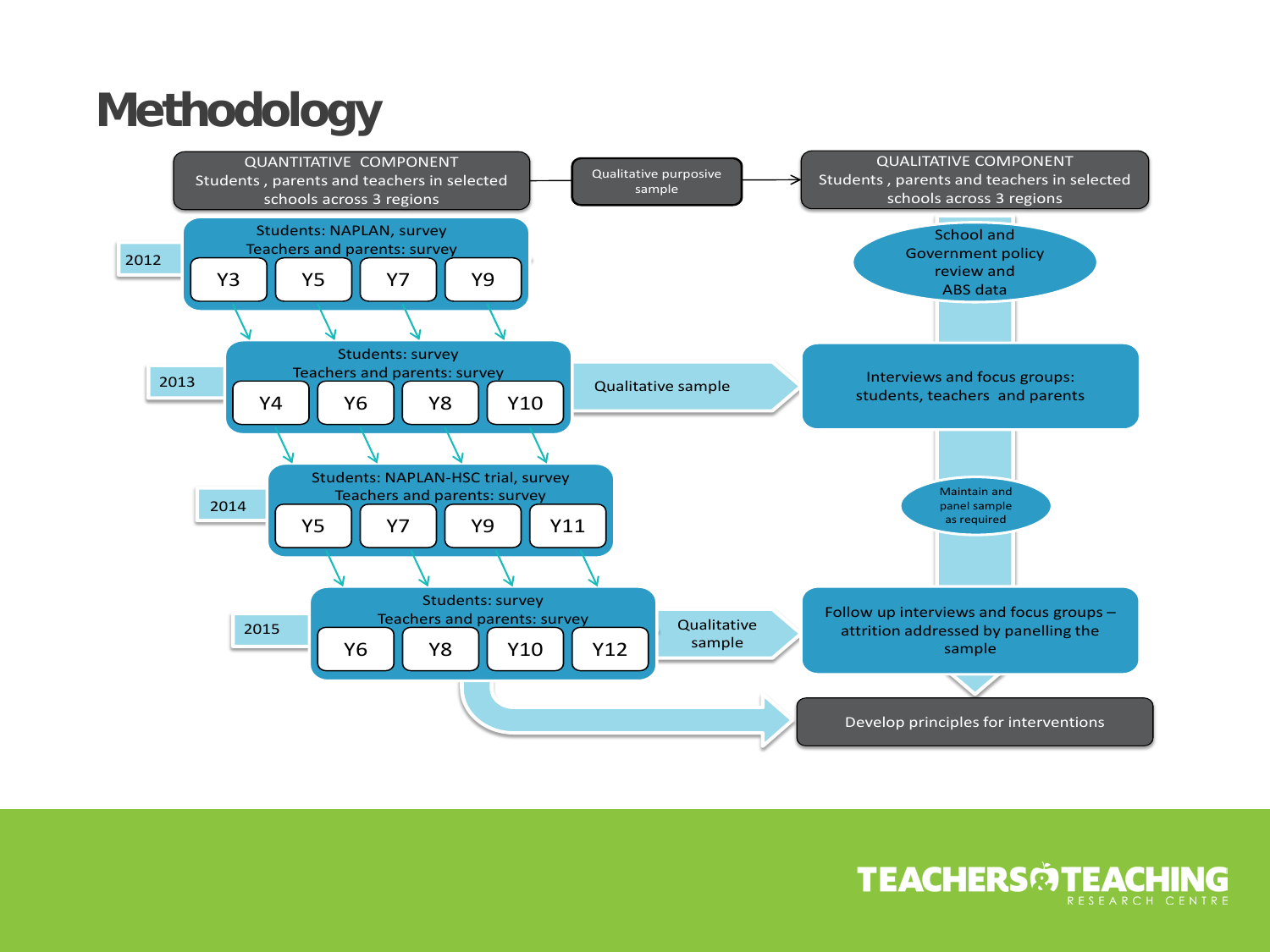## **Methodology**



### **TEACHERSMTEACHING**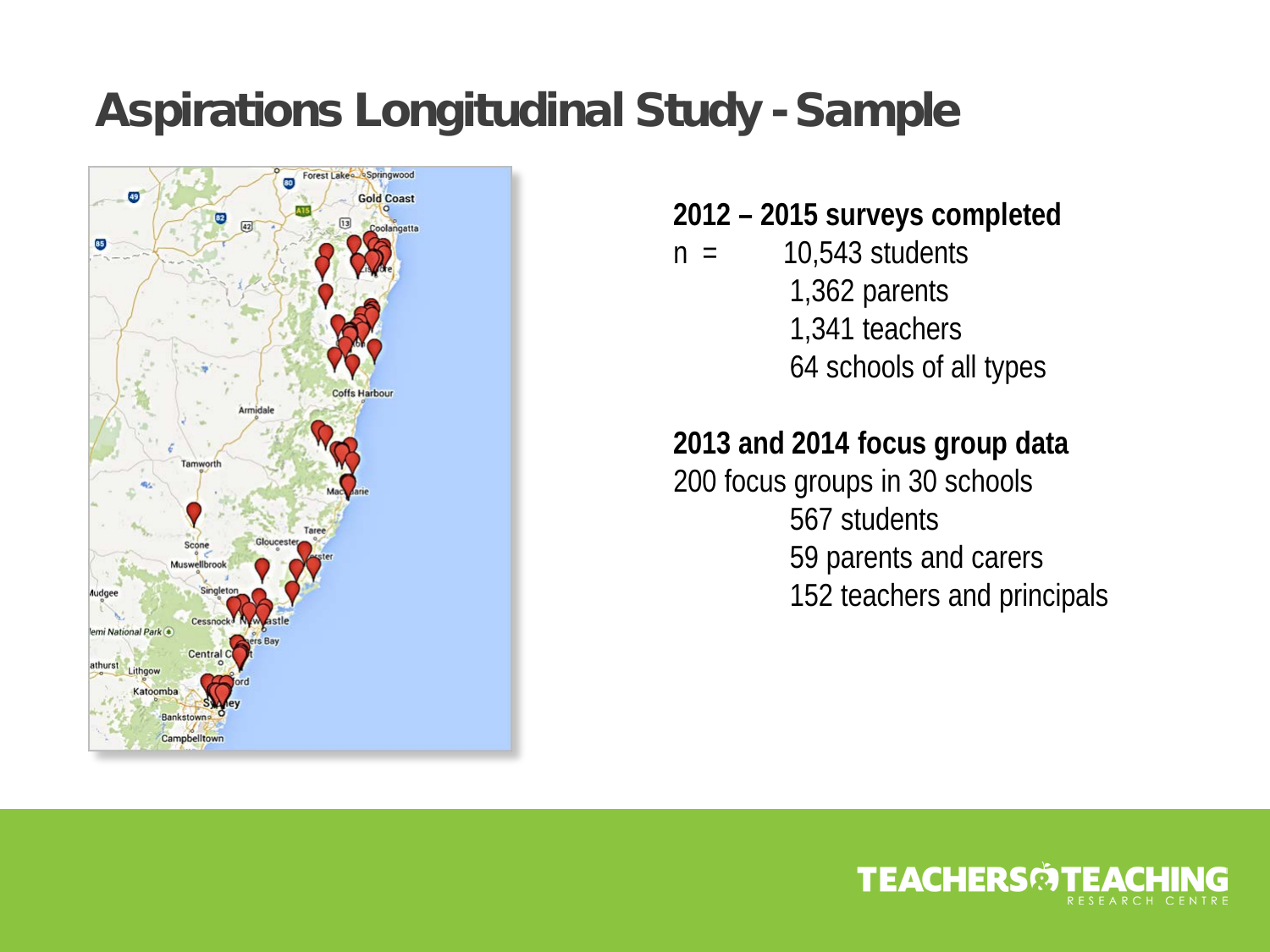### Aspirations Longitudinal Study - Sample



- **2012 – 2015 surveys completed**
- $n = 10,543$  students 1,362 parents 1,341 teachers 64 schools of all types

#### **2013 and 2014 focus group data**

200 focus groups in 30 schools 567 students 59 parents and carers 152 teachers and principals

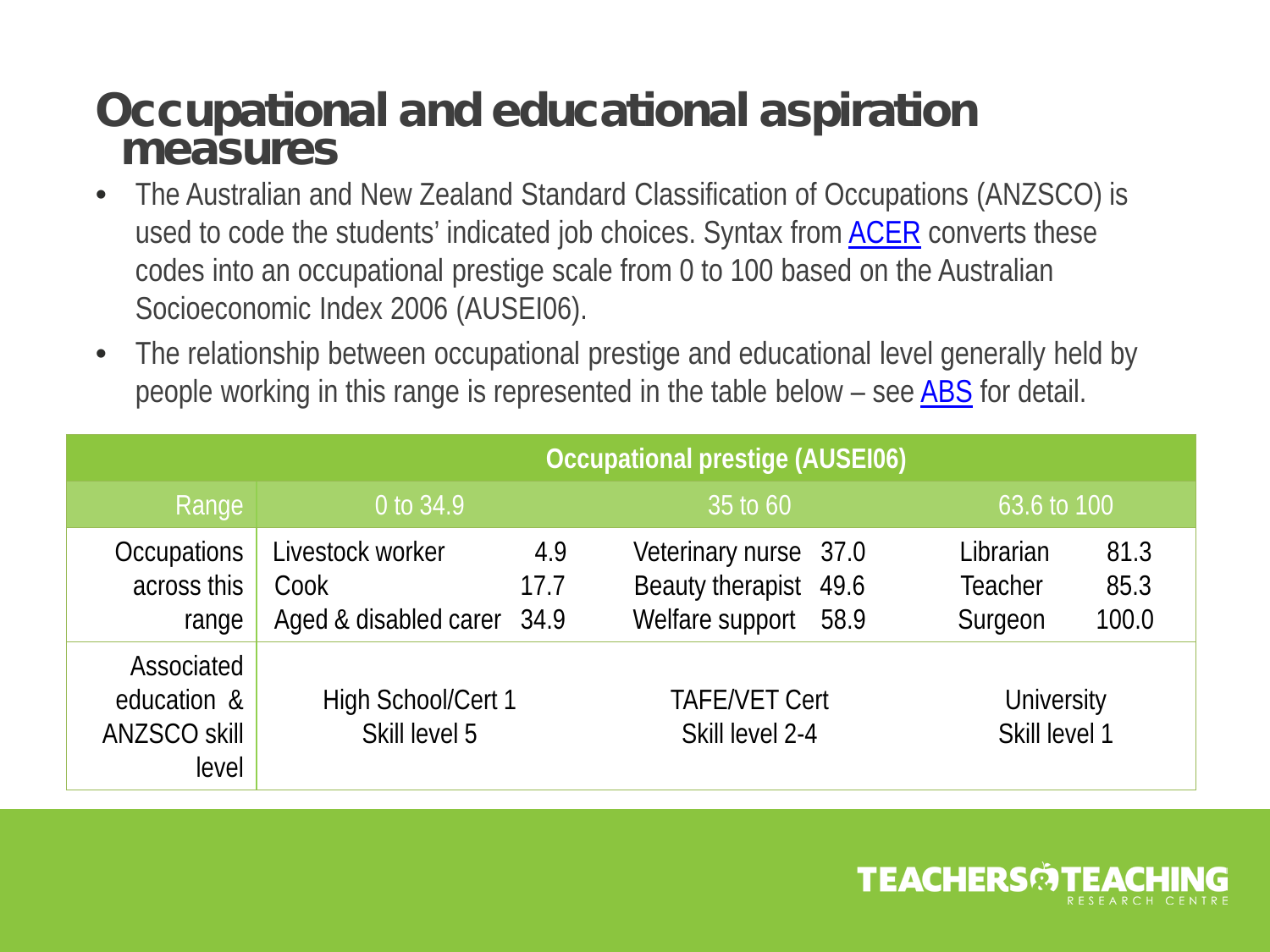### Occupational and educational aspiration measures

- The Australian and New Zealand Standard Classification of Occupations (ANZSCO) is used to code the students' indicated job choices. Syntax from **ACER** converts these codes into an occupational prestige scale from 0 to 100 based on the Australian Socioeconomic Index 2006 (AUSEI06).
- The relationship between occupational prestige and educational level generally held by people working in this range is represented in the table below – see [ABS](http://www.abs.gov.au/ausstats/abs@.nsf/0/598C2E23628BB8FDCA2575DF002DA6B8?opendocument) for detail.

|                                                    | <b>Occupational prestige (AUSEI06)</b>                 |             |                                                                        |                                                                 |
|----------------------------------------------------|--------------------------------------------------------|-------------|------------------------------------------------------------------------|-----------------------------------------------------------------|
| Range                                              | 0 to 34.9                                              |             | 35 to 60                                                               | 63.6 to 100                                                     |
| <b>Occupations</b><br>across this<br>range         | Livestock worker<br>Cook<br>Aged & disabled carer 34.9 | 4.9<br>17.7 | Veterinary nurse 37.0<br>Beauty therapist 49.6<br>Welfare support 58.9 | Librarian<br>81.3<br>85.3<br><b>Teacher</b><br>100.0<br>Surgeon |
| Associated<br>education &<br>ANZSCO skill<br>level | High School/Cert 1<br>Skill level 5                    |             | <b>TAFE/VET Cert</b><br>Skill level 2-4                                | University<br>Skill level 1                                     |

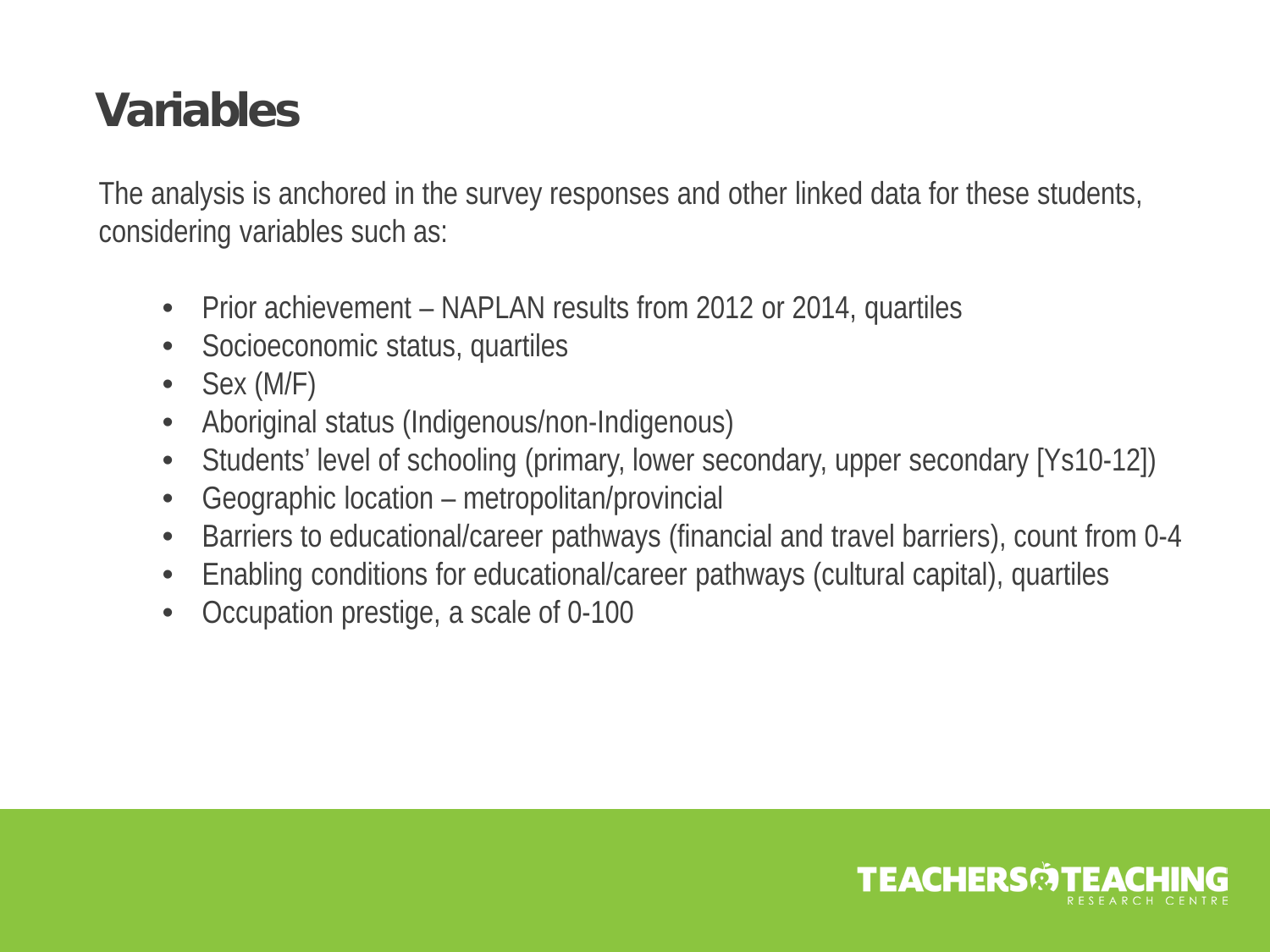### Variables

The analysis is anchored in the survey responses and other linked data for these students, considering variables such as:

- Prior achievement NAPLAN results from 2012 or 2014, quartiles
- Socioeconomic status, quartiles
- Sex (M/F)
- Aboriginal status (Indigenous/non-Indigenous)
- Students' level of schooling (primary, lower secondary, upper secondary [Ys10-12])
- Geographic location metropolitan/provincial
- Barriers to educational/career pathways (financial and travel barriers), count from 0-4
- Enabling conditions for educational/career pathways (cultural capital), quartiles
- Occupation prestige, a scale of 0-100

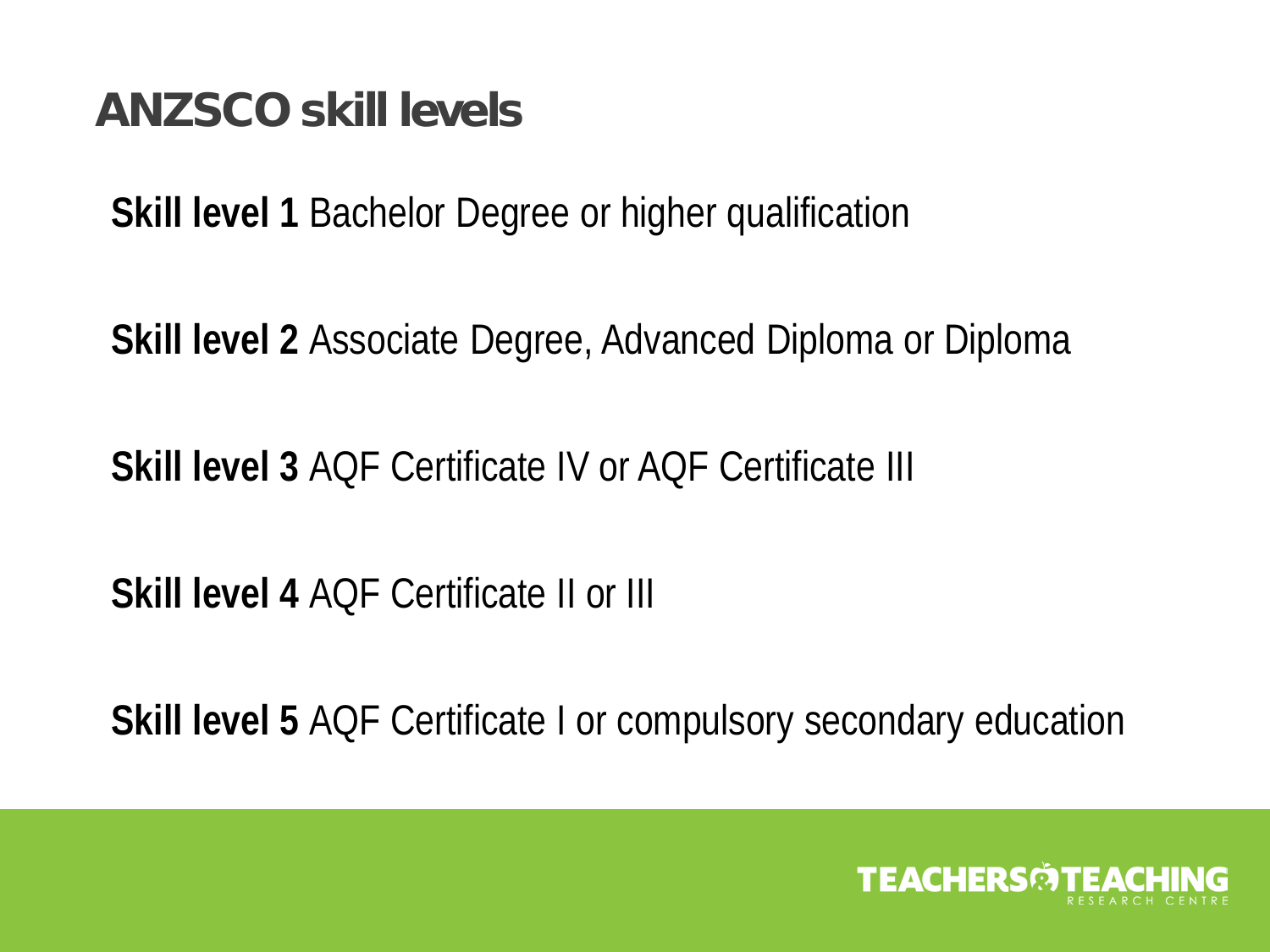### ANZSCO skill levels

**Skill level 1** Bachelor Degree or higher qualification

**Skill level 2** Associate Degree, Advanced Diploma or Diploma

**Skill level 3** AQF Certificate IV or AQF Certificate III

**Skill level 4** AQF Certificate II or III

**Skill level 5** AQF Certificate I or compulsory secondary education

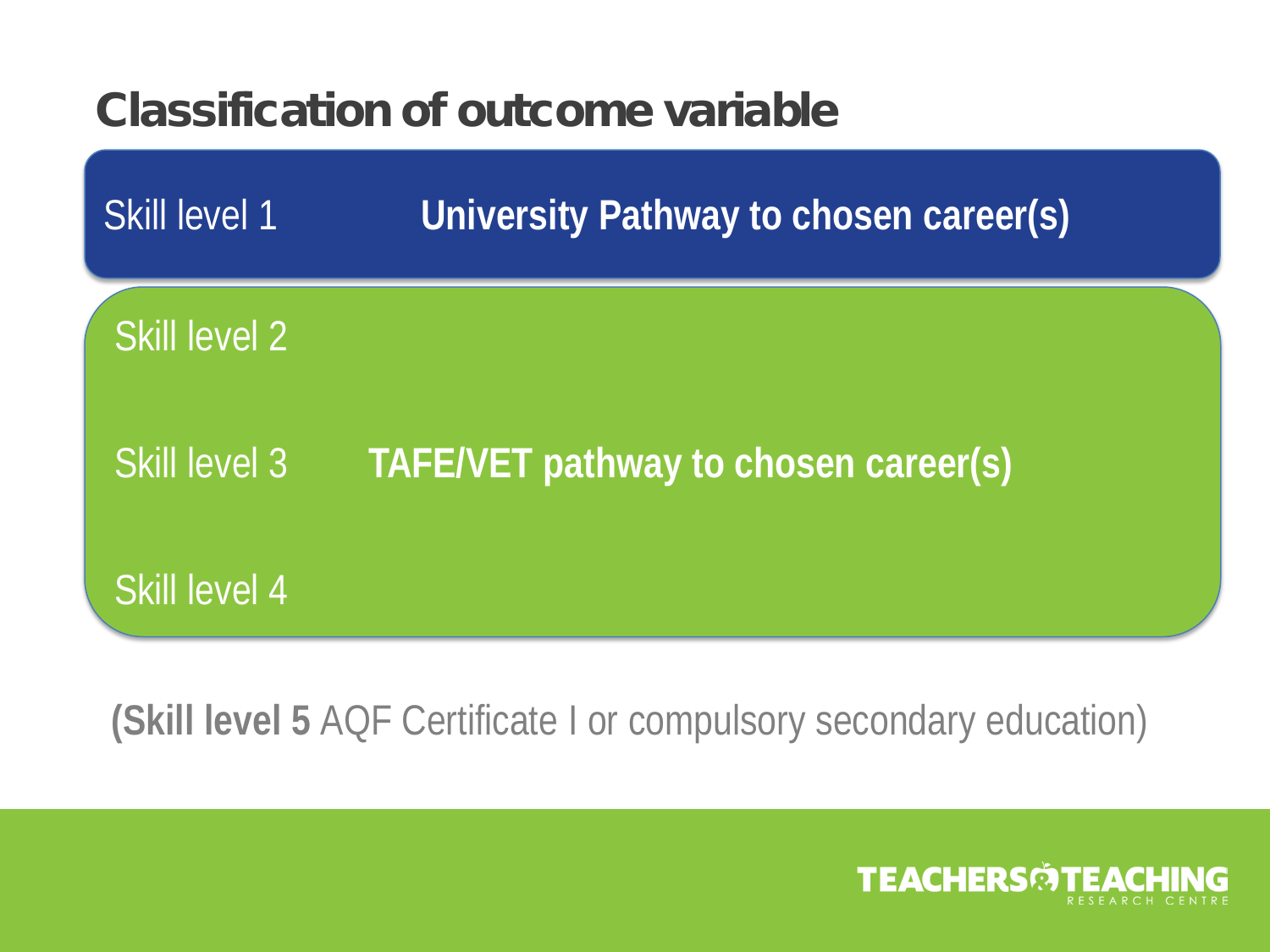### Classification of outcome variable



**(Skill level 5** AQF Certificate I or compulsory secondary education)

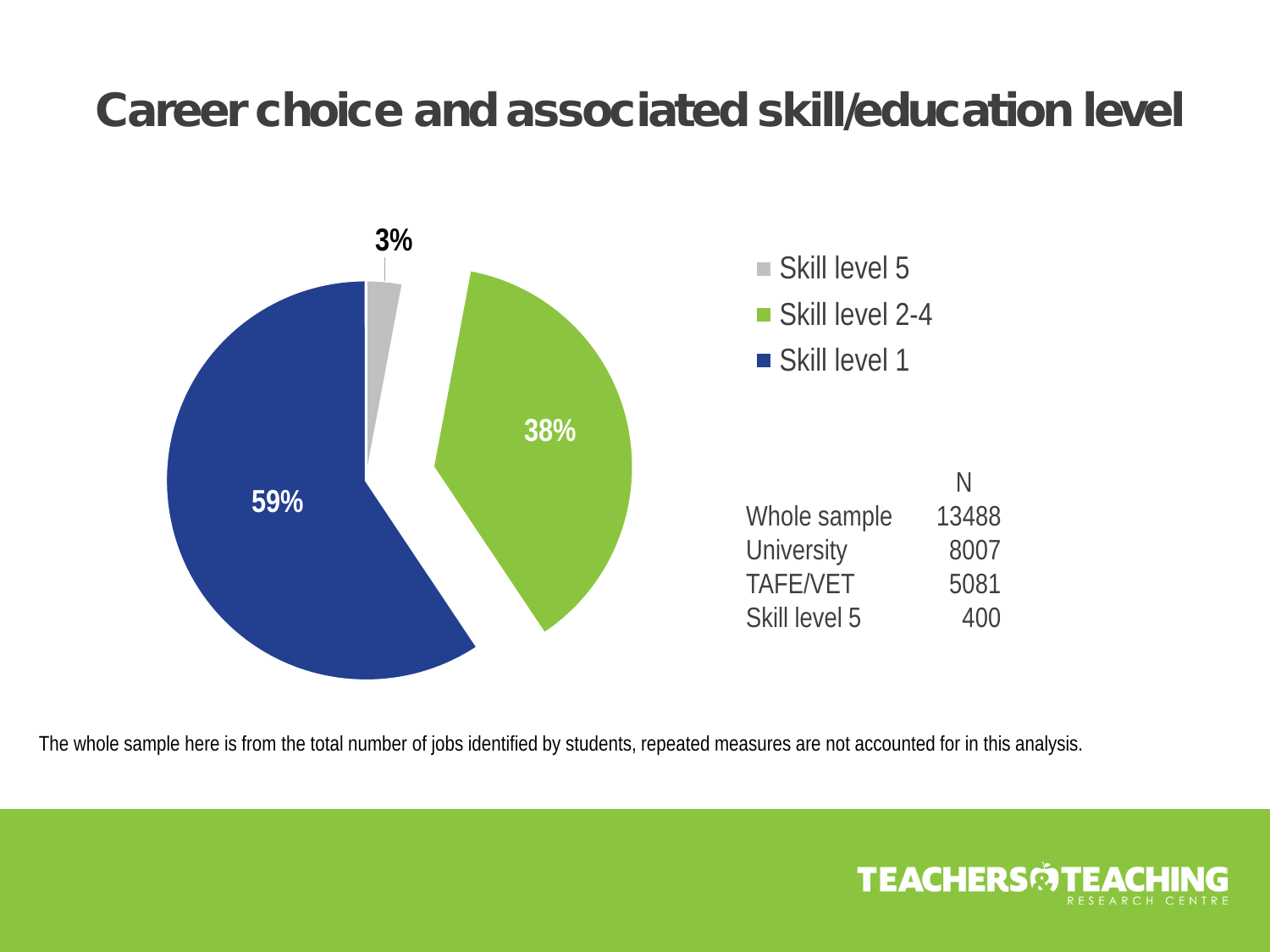### Career choice and associated skill/education level



The whole sample here is from the total number of jobs identified by students, repeated measures are not accounted for in this analysis.

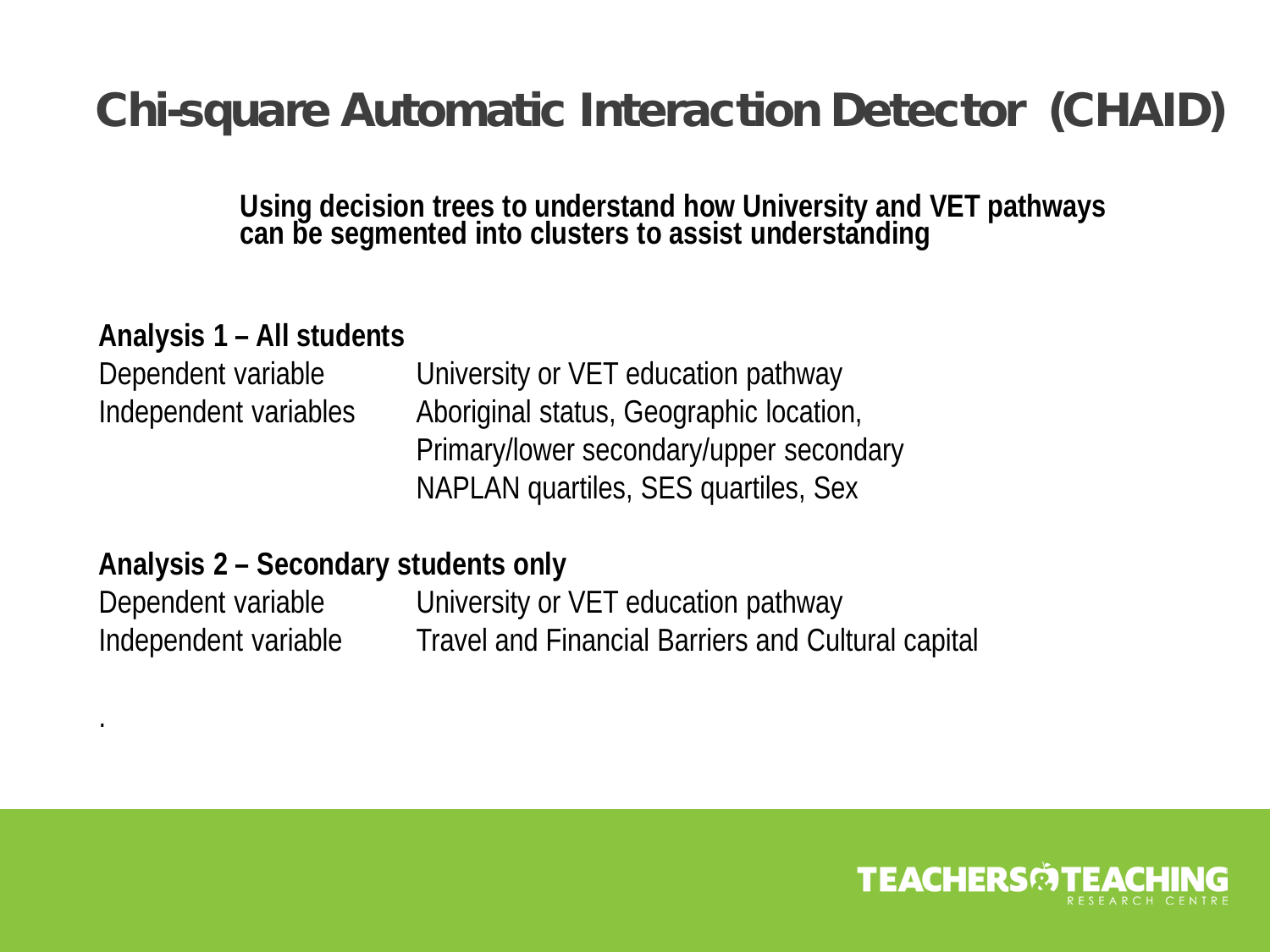### Chi-square Automatic Interaction Detector (CHAID)

**Using decision trees to understand how University and VET pathways can be segmented into clusters to assist understanding**

#### **Analysis 1 – All students**

Dependent variable University or VET education pathway Independent variables Aboriginal status, Geographic location, Primary/lower secondary/upper secondary NAPLAN quartiles, SES quartiles, Sex

#### **Analysis 2 – Secondary students only**

.

Dependent variable University or VET education pathway Independent variable Travel and Financial Barriers and Cultural capital

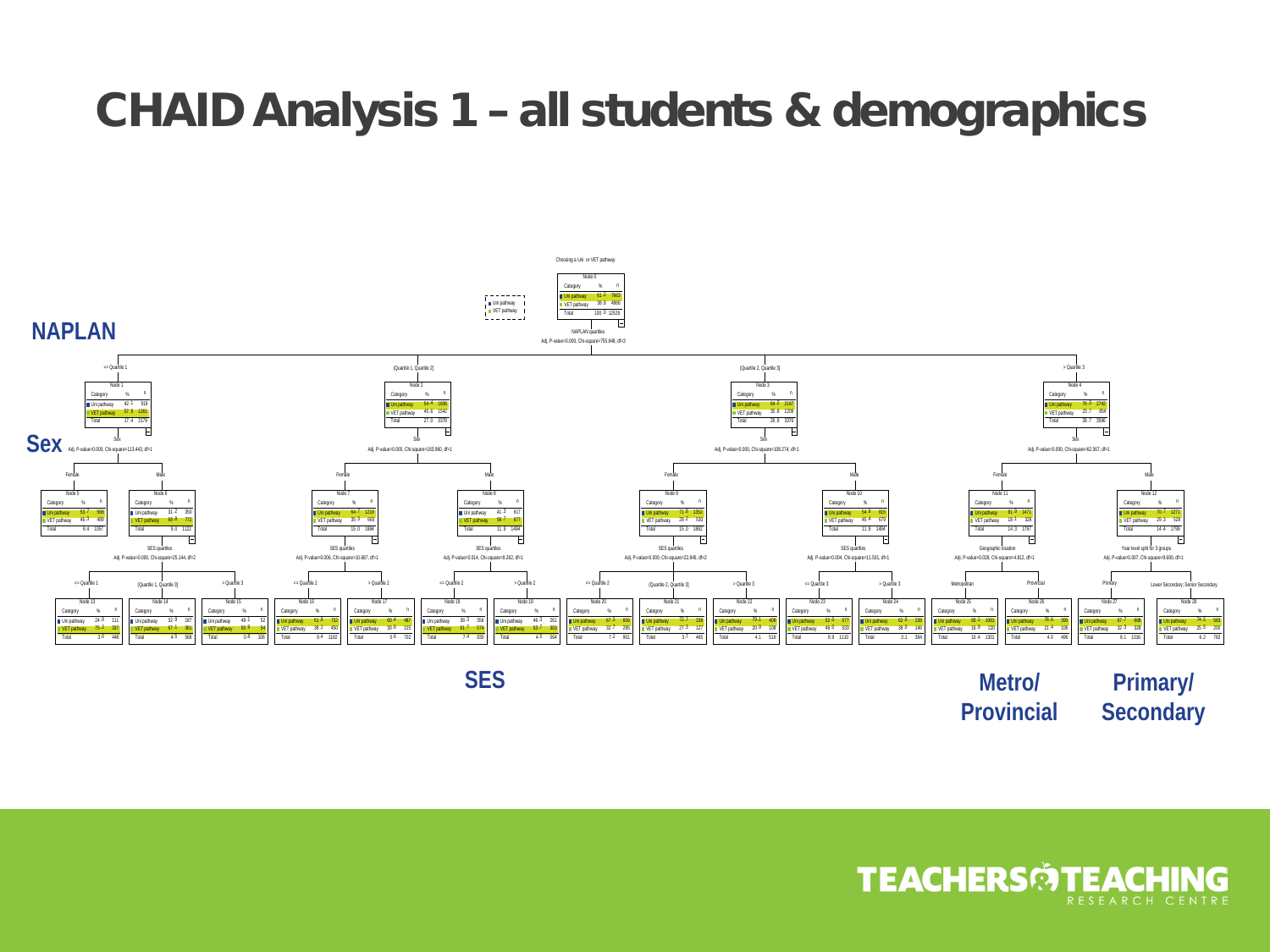### CHAID Analysis 1 – all students & demographics



**SES Metro/ Provincial Primary/ Secondary**

**TEACHERS TEACHII**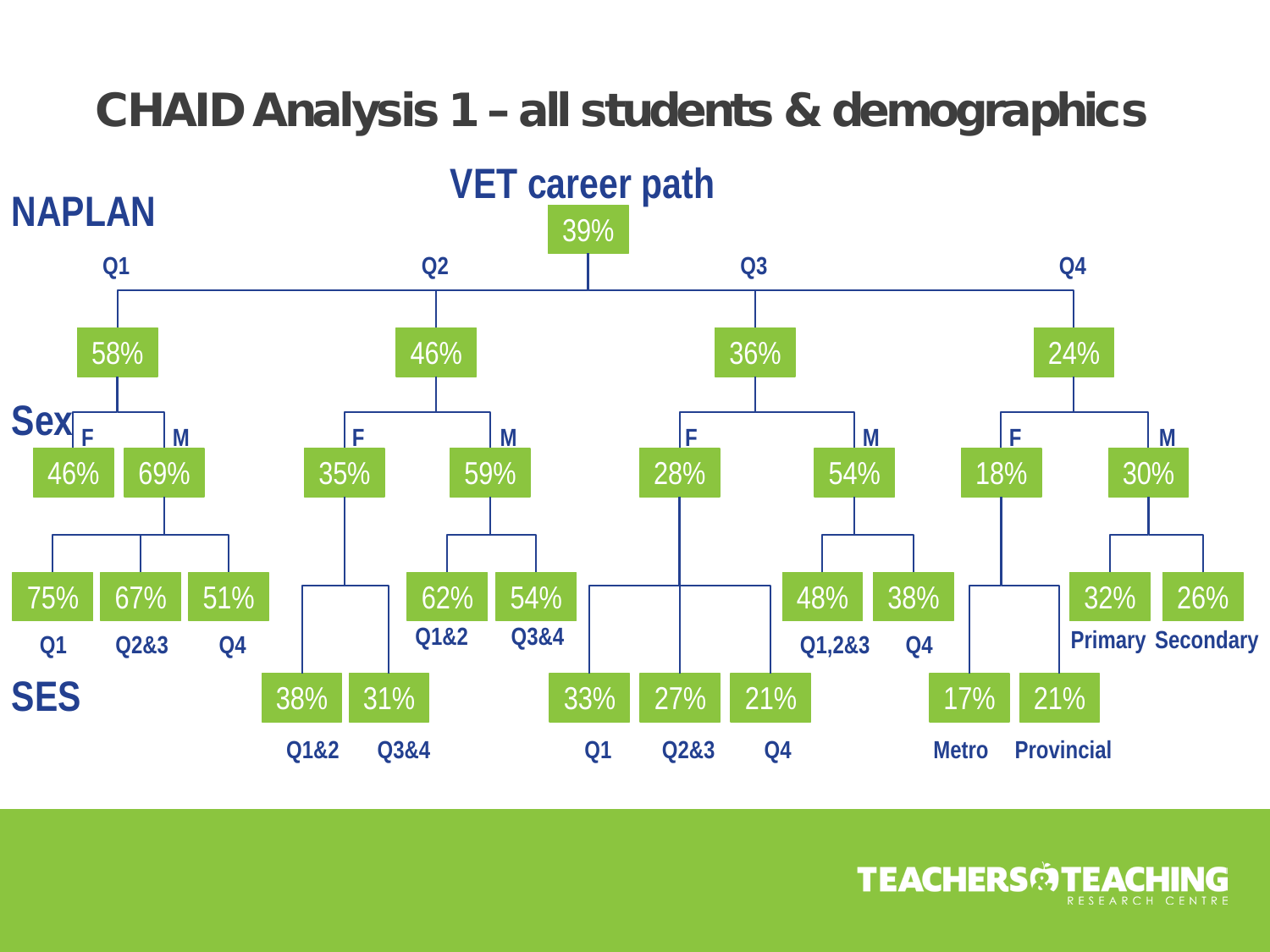### CHAID Analysis 1 – all students & demographics



**TEACHERSMTEACHI**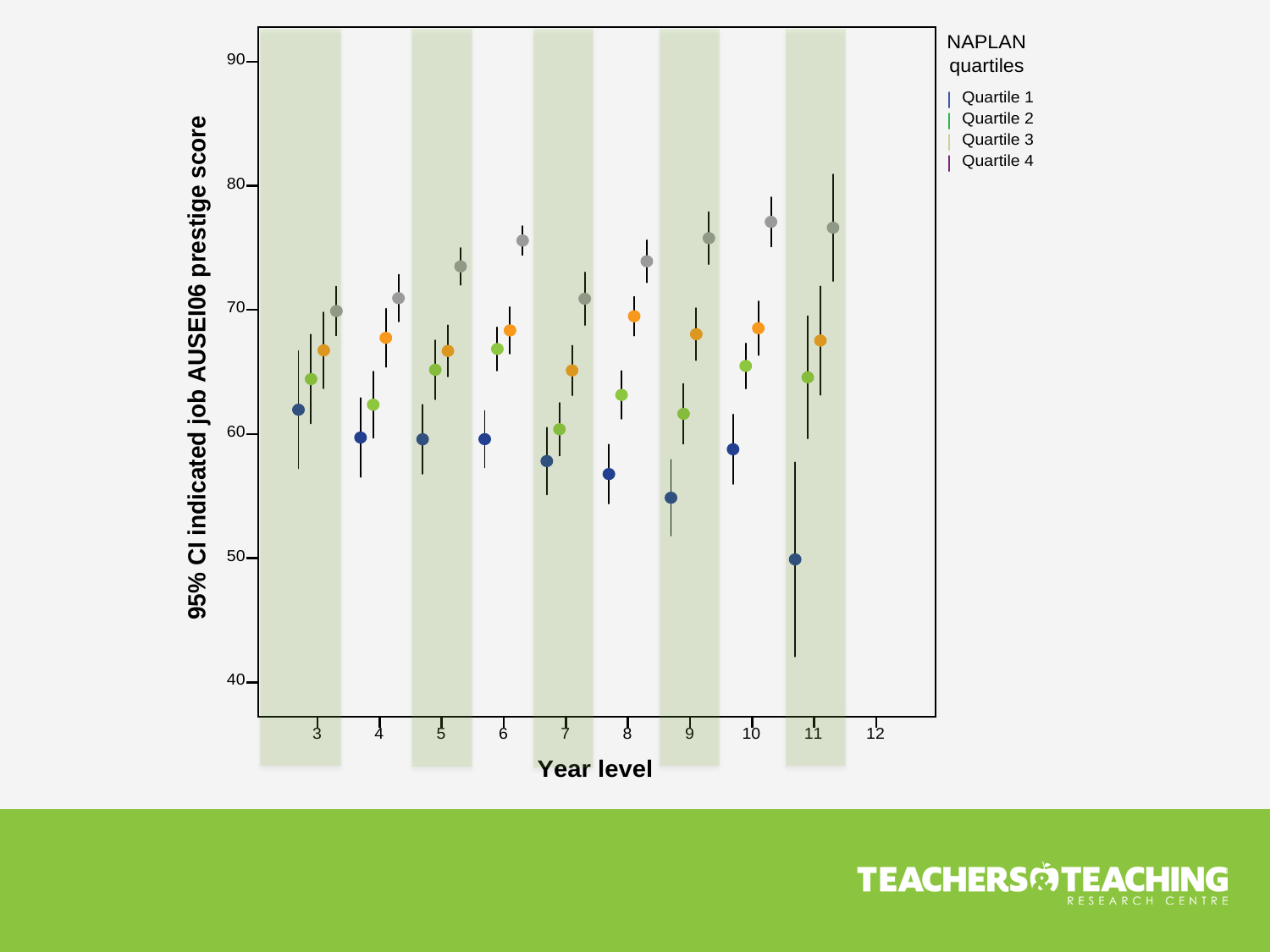

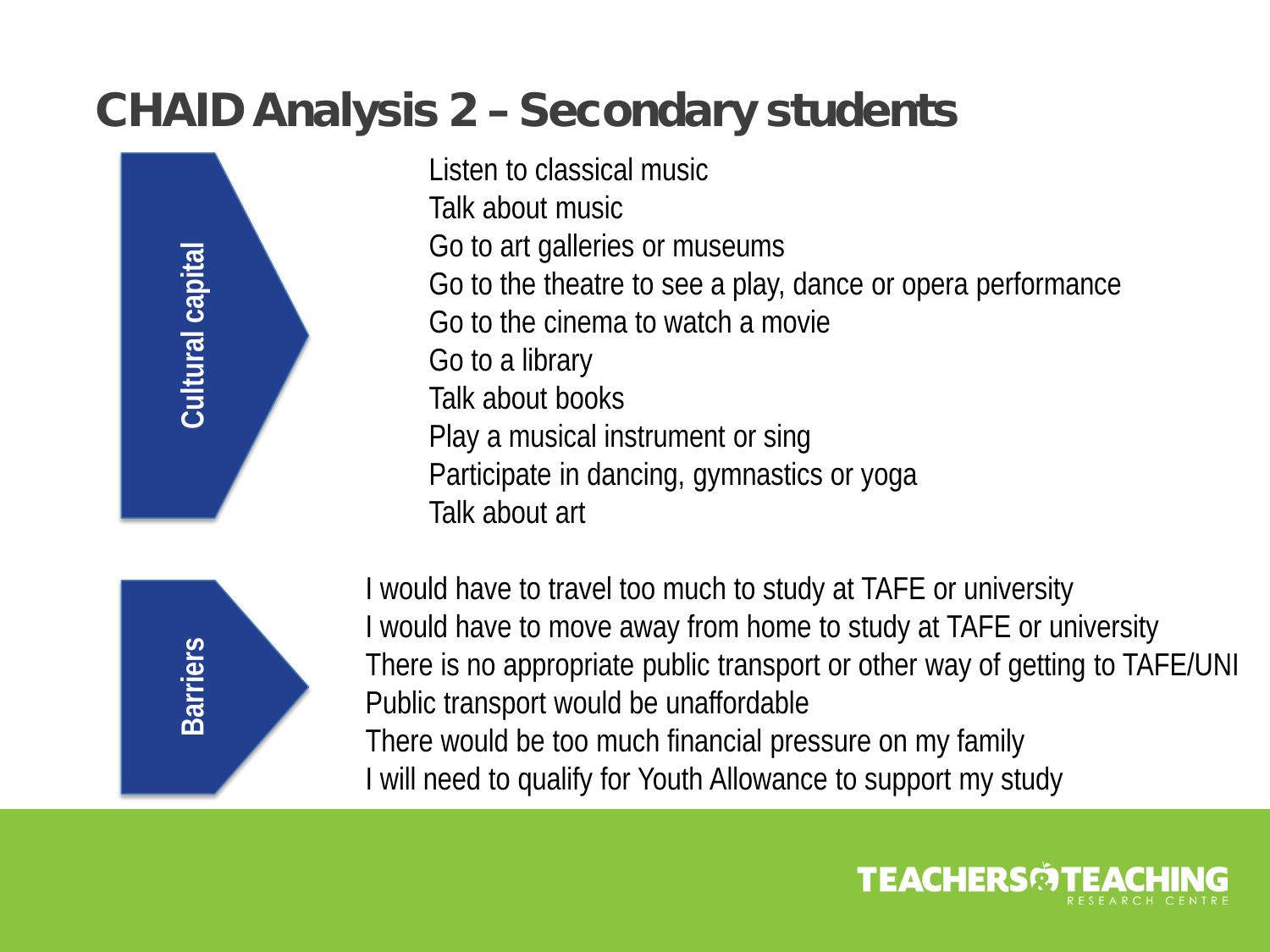### CHAID Analysis 2 – Secondary students



Listen to classical music Talk about music Go to art galleries or museums Go to the theatre to see a play, dance or opera performance Go to the cinema to watch a movie Go to a library Talk about books Play a musical instrument or sing Participate in dancing, gymnastics or yoga Talk about art



I would have to travel too much to study at TAFE or university I would have to move away from home to study at TAFE or university There is no appropriate public transport or other way of getting to TAFE/UNI Public transport would be unaffordable There would be too much financial pressure on my family I will need to qualify for Youth Allowance to support my study

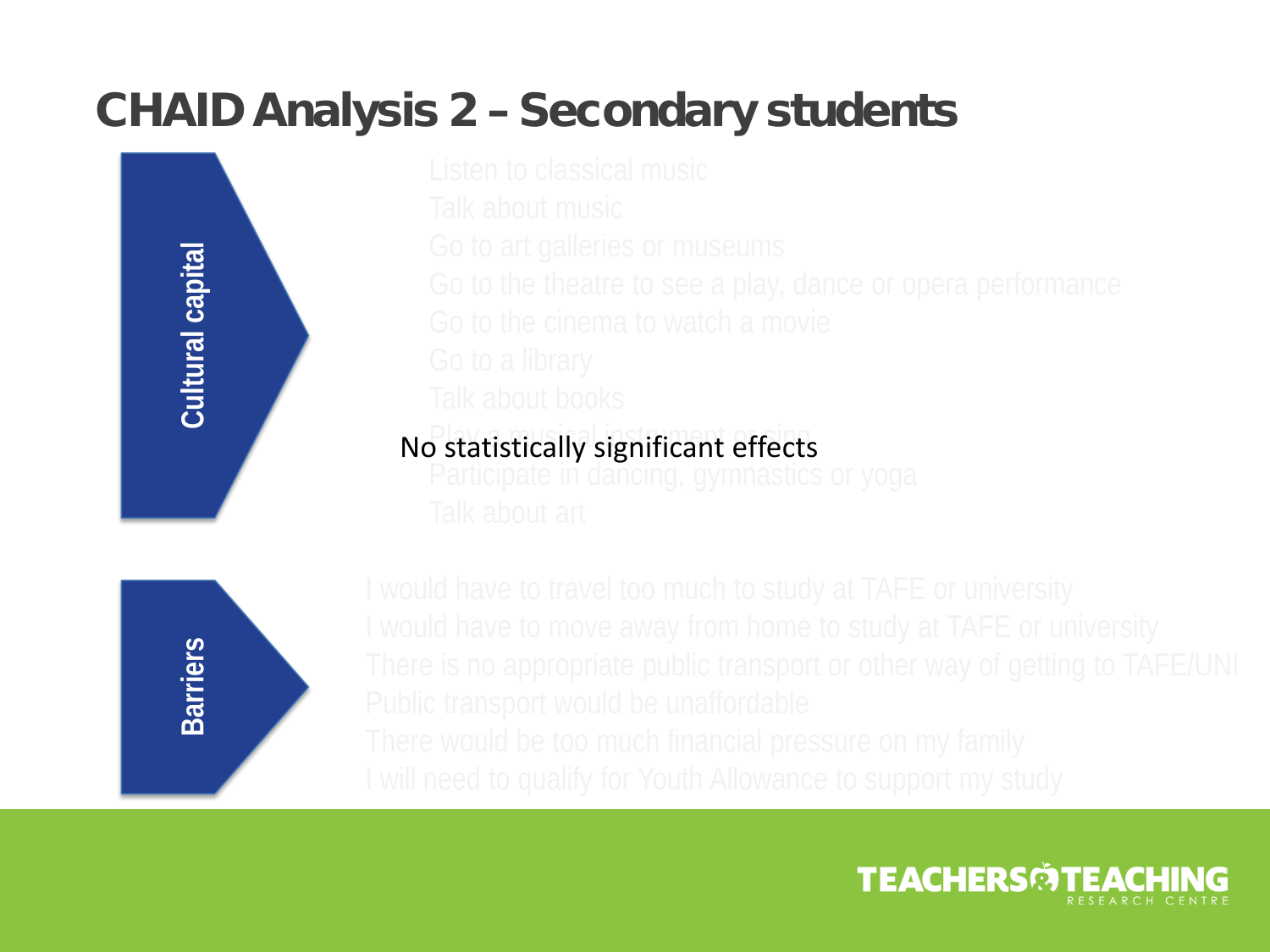### CHAID Analysis 2 – Secondary students



### No statistically significant effects



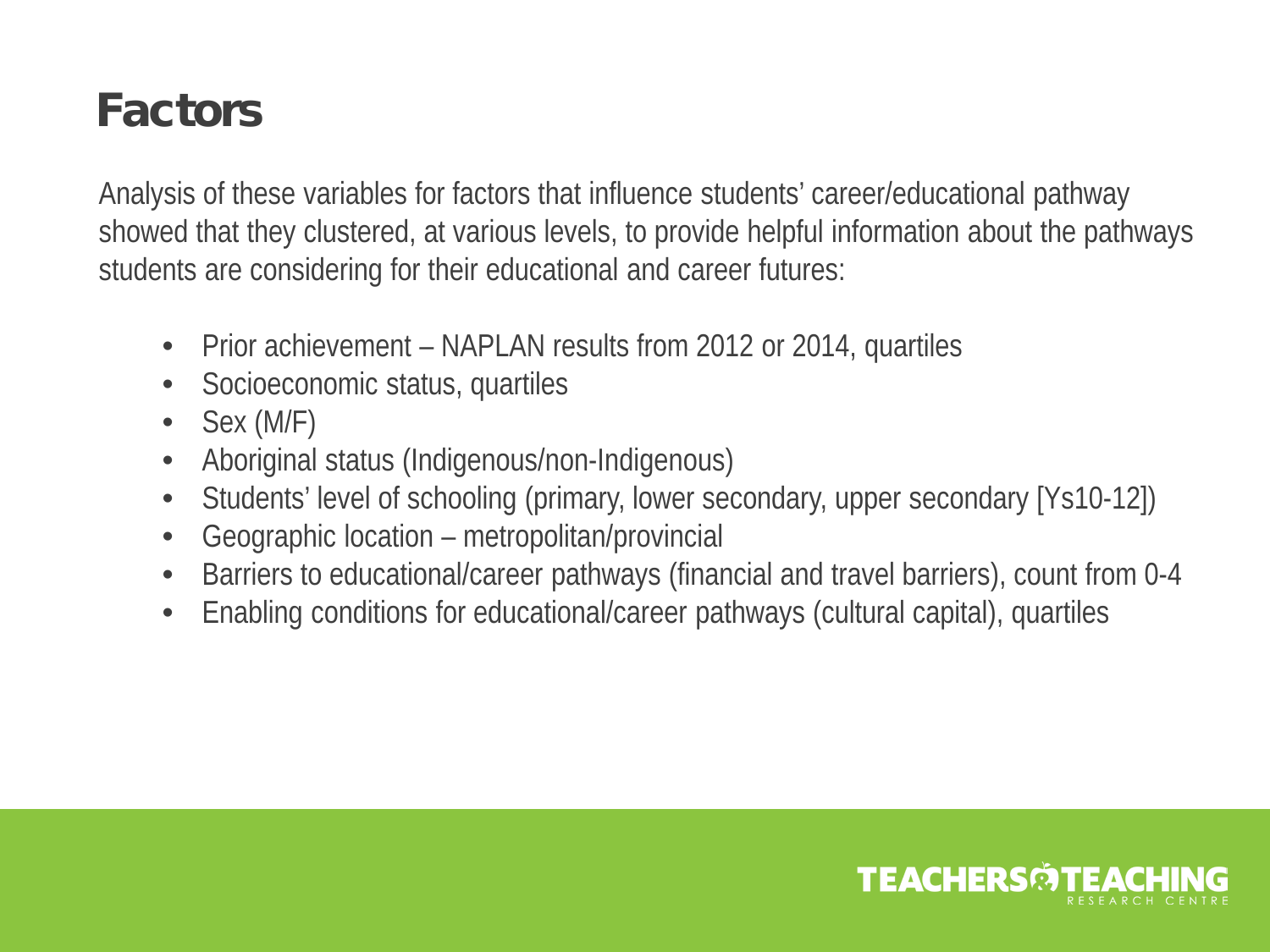### **Factors**

Analysis of these variables for factors that influence students' career/educational pathway showed that they clustered, at various levels, to provide helpful information about the pathways students are considering for their educational and career futures:

- Prior achievement NAPLAN results from 2012 or 2014, quartiles
- Socioeconomic status, quartiles
- Sex (M/F)
- Aboriginal status (Indigenous/non-Indigenous)
- Students' level of schooling (primary, lower secondary, upper secondary [Ys10-12])
- Geographic location metropolitan/provincial
- Barriers to educational/career pathways (financial and travel barriers), count from 0-4
- Enabling conditions for educational/career pathways (cultural capital), quartiles

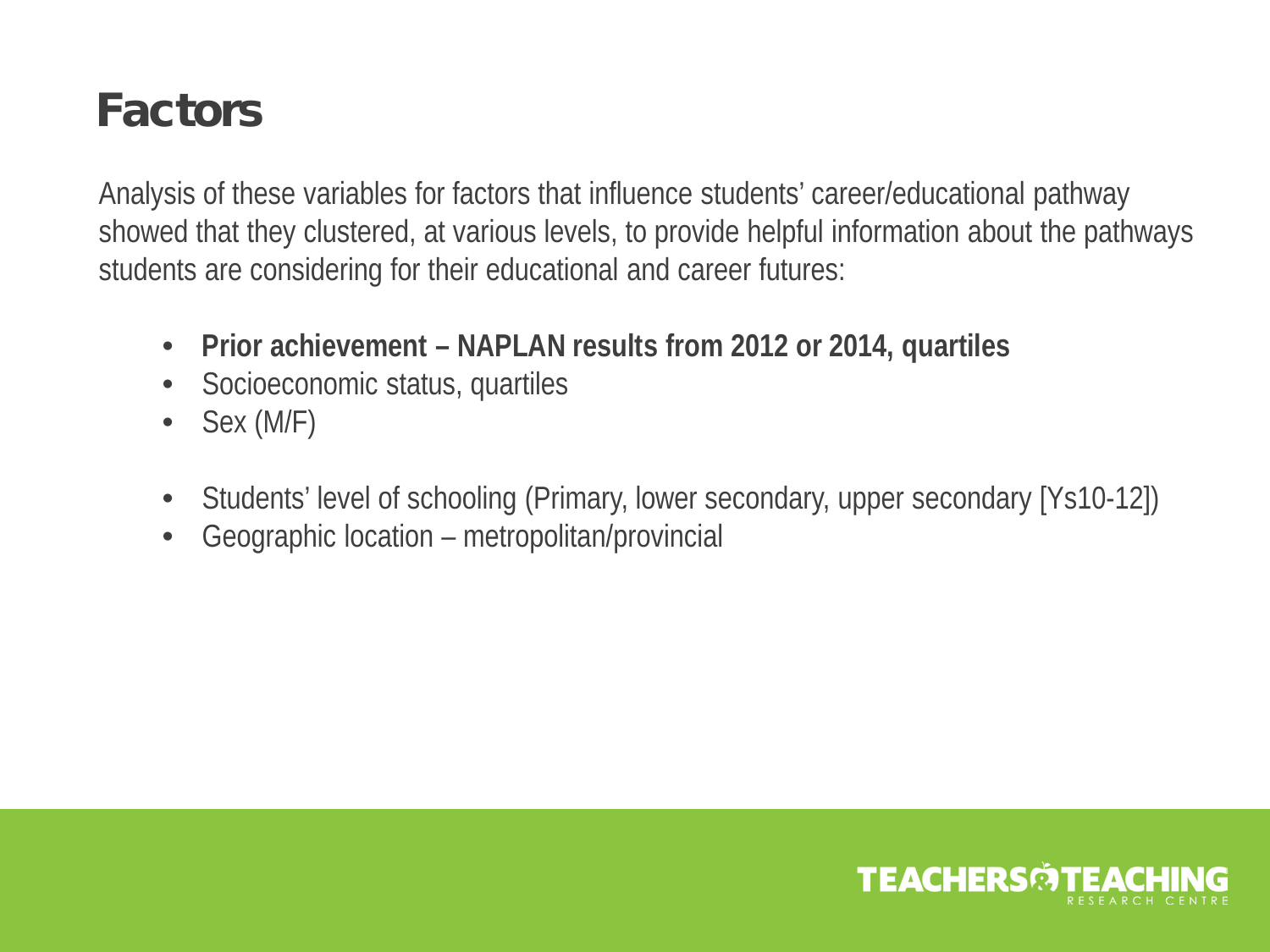### **Factors**

Analysis of these variables for factors that influence students' career/educational pathway showed that they clustered, at various levels, to provide helpful information about the pathways students are considering for their educational and career futures:

- **Prior achievement – NAPLAN results from 2012 or 2014, quartiles**
- Socioeconomic status, quartiles
- Sex (M/F)
- Students' level of schooling (Primary, lower secondary, upper secondary [Ys10-12])
- Geographic location metropolitan/provincial

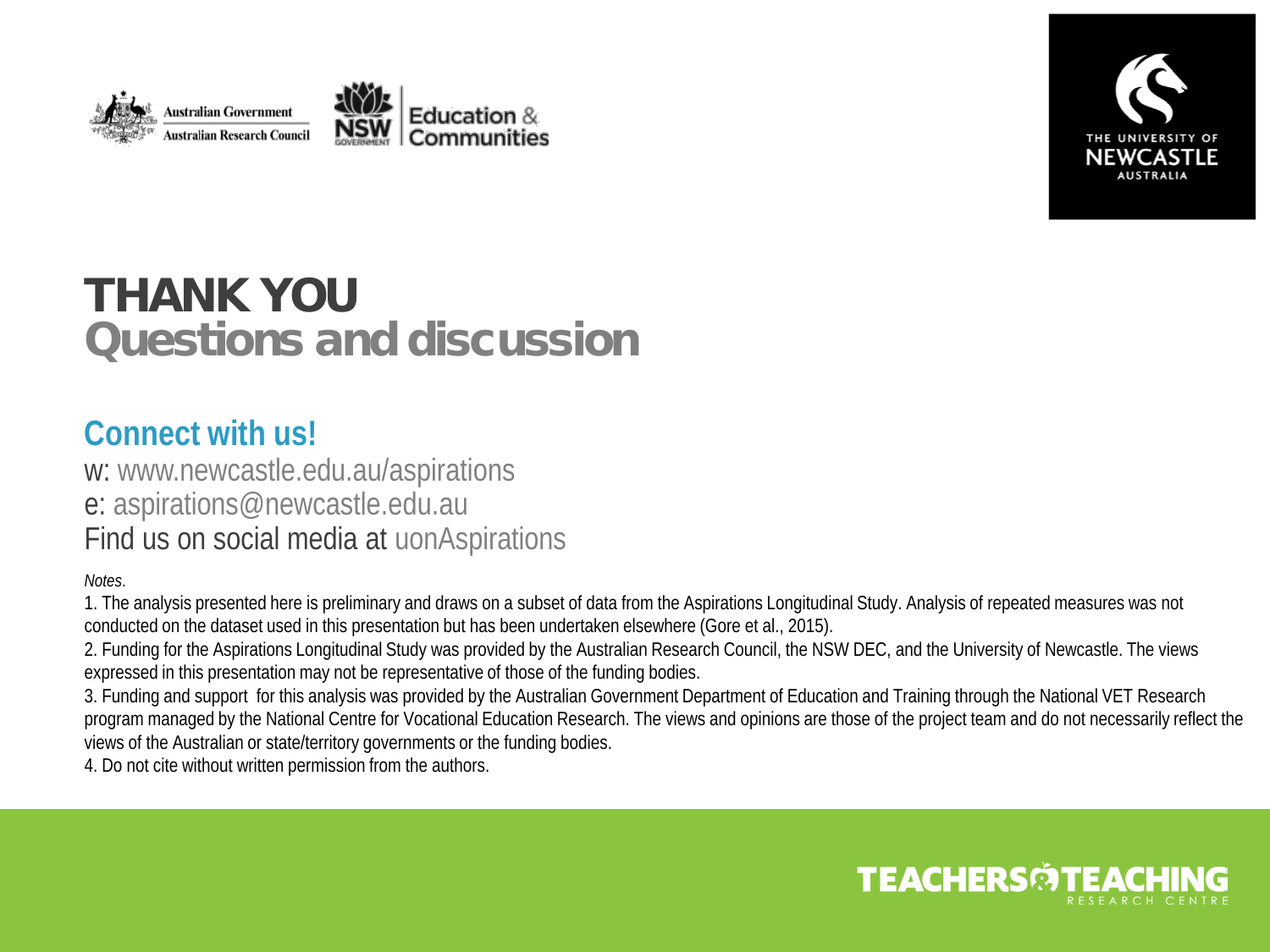



### THANK YOU Questions and discussion

#### **Connect with us!**

w: www.newcastle.edu.au/aspirations e: aspirations@newcastle.edu.au Find us on social media at uonAspirations

*Notes*.

1. The analysis presented here is preliminary and draws on a subset of data from the Aspirations Longitudinal Study. Analysis of repeated measures was not conducted on the dataset used in this presentation but has been undertaken elsewhere (Gore et al., 2015).

2. Funding for the Aspirations Longitudinal Study was provided by the Australian Research Council, the NSW DEC, and the University of Newcastle. The views expressed in this presentation may not be representative of those of the funding bodies.

3. Funding and support for this analysis was provided by the Australian Government Department of Education and Training through the National VET Research program managed by the National Centre for Vocational Education Research. The views and opinions are those of the project team and do not necessarily reflect the views of the Australian or state/territory governments or the funding bodies.

4. Do not cite without written permission from the authors.